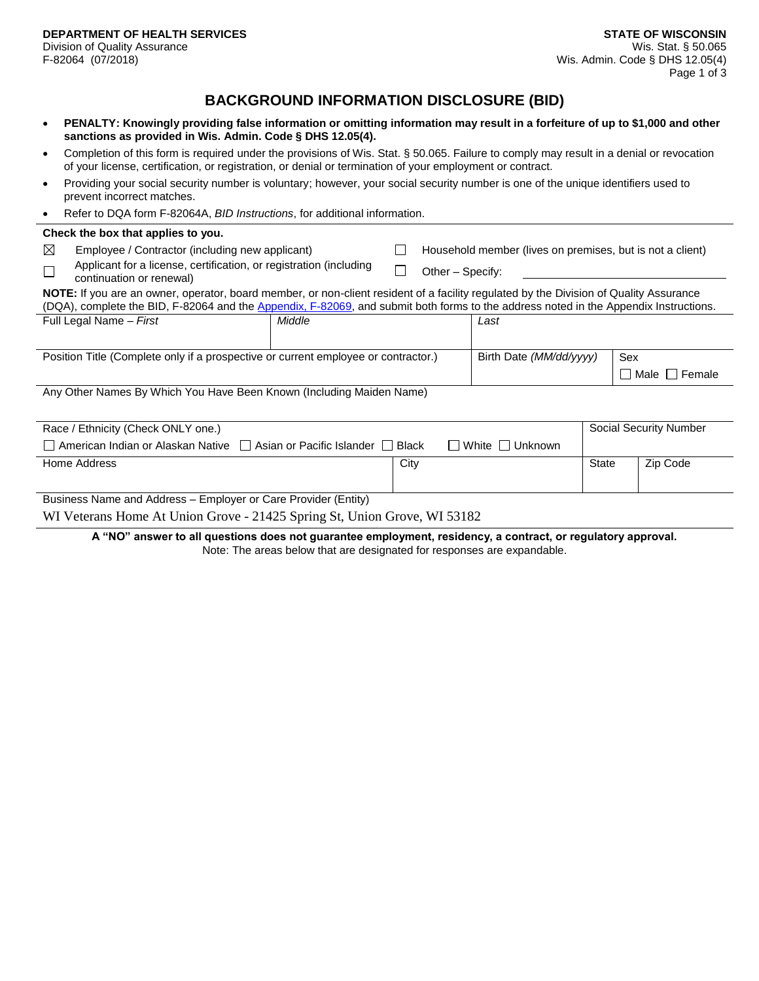## **BACKGROUND INFORMATION DISCLOSURE (BID)**

- **PENALTY: Knowingly providing false information or omitting information may result in a forfeiture of up to \$1,000 and other sanctions as provided in Wis. Admin. Code § DHS 12.05(4).**
- Completion of this form is required under the provisions of Wis. Stat. § 50.065. Failure to comply may result in a denial or revocation of your license, certification, or registration, or denial or termination of your employment or contract.
- Providing your social security number is voluntary; however, your social security number is one of the unique identifiers used to prevent incorrect matches.
- Refer to DQA form F-82064A, *BID Instructions*, for additional information.

| Check the box that applies to you.                                                                                                                                                                                                                                             |                                                                                                |        |                        |                         |                                                           |       |     |                 |
|--------------------------------------------------------------------------------------------------------------------------------------------------------------------------------------------------------------------------------------------------------------------------------|------------------------------------------------------------------------------------------------|--------|------------------------|-------------------------|-----------------------------------------------------------|-------|-----|-----------------|
| $\boxtimes$                                                                                                                                                                                                                                                                    | Employee / Contractor (including new applicant)                                                |        |                        |                         | Household member (lives on premises, but is not a client) |       |     |                 |
|                                                                                                                                                                                                                                                                                | Applicant for a license, certification, or registration (including<br>continuation or renewal) |        | Other – Specify:       |                         |                                                           |       |     |                 |
| NOTE: If you are an owner, operator, board member, or non-client resident of a facility regulated by the Division of Quality Assurance<br>(DQA), complete the BID, F-82064 and the Appendix, F-82069, and submit both forms to the address noted in the Appendix Instructions. |                                                                                                |        |                        |                         |                                                           |       |     |                 |
|                                                                                                                                                                                                                                                                                | Full Legal Name - First                                                                        | Middle |                        |                         | Last                                                      |       |     |                 |
| Position Title (Complete only if a prospective or current employee or contractor.)                                                                                                                                                                                             |                                                                                                |        |                        | Birth Date (MM/dd/yyyy) |                                                           |       | Sex |                 |
|                                                                                                                                                                                                                                                                                |                                                                                                |        |                        |                         |                                                           |       |     | Male     Female |
| Any Other Names By Which You Have Been Known (Including Maiden Name)                                                                                                                                                                                                           |                                                                                                |        |                        |                         |                                                           |       |     |                 |
| Race / Ethnicity (Check ONLY one.)                                                                                                                                                                                                                                             |                                                                                                |        | Social Security Number |                         |                                                           |       |     |                 |
| $\Box$ American Indian or Alaskan Native $\Box$ Asian or Pacific Islander $\Box$ Black<br>White    <br>Unknown                                                                                                                                                                 |                                                                                                |        |                        |                         |                                                           |       |     |                 |
|                                                                                                                                                                                                                                                                                | Home Address                                                                                   |        | City                   |                         |                                                           | State |     | Zip Code        |
| Business Name and Address - Employer or Care Provider (Entity)                                                                                                                                                                                                                 |                                                                                                |        |                        |                         |                                                           |       |     |                 |
| WI Veterans Home At Union Grove - 21425 Spring St, Union Grove, WI 53182                                                                                                                                                                                                       |                                                                                                |        |                        |                         |                                                           |       |     |                 |

**A "NO" answer to all questions does not guarantee employment, residency, a contract, or regulatory approval.** Note: The areas below that are designated for responses are expandable.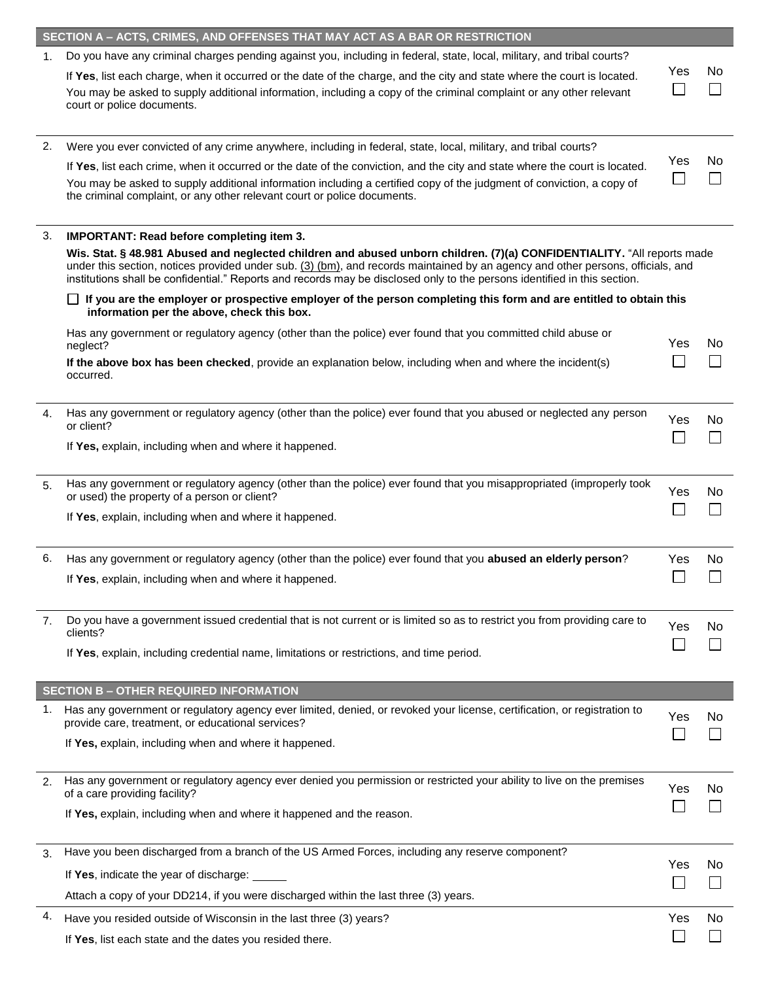|                | SECTION A - ACTS, CRIMES, AND OFFENSES THAT MAY ACT AS A BAR OR RESTRICTION                                                                                                                                                                                                                                                                                                               |     |     |  |  |  |  |  |
|----------------|-------------------------------------------------------------------------------------------------------------------------------------------------------------------------------------------------------------------------------------------------------------------------------------------------------------------------------------------------------------------------------------------|-----|-----|--|--|--|--|--|
| $\mathbf{1}$ . | Do you have any criminal charges pending against you, including in federal, state, local, military, and tribal courts?                                                                                                                                                                                                                                                                    |     |     |  |  |  |  |  |
|                | If Yes, list each charge, when it occurred or the date of the charge, and the city and state where the court is located.<br>You may be asked to supply additional information, including a copy of the criminal complaint or any other relevant<br>court or police documents.                                                                                                             | Yes | No. |  |  |  |  |  |
| 2.             | Were you ever convicted of any crime anywhere, including in federal, state, local, military, and tribal courts?                                                                                                                                                                                                                                                                           |     |     |  |  |  |  |  |
|                | If Yes, list each crime, when it occurred or the date of the conviction, and the city and state where the court is located.<br>You may be asked to supply additional information including a certified copy of the judgment of conviction, a copy of<br>the criminal complaint, or any other relevant court or police documents.                                                          | Yes | No. |  |  |  |  |  |
| 3.             | <b>IMPORTANT: Read before completing item 3.</b>                                                                                                                                                                                                                                                                                                                                          |     |     |  |  |  |  |  |
|                | Wis. Stat. § 48.981 Abused and neglected children and abused unborn children. (7)(a) CONFIDENTIALITY. "All reports made<br>under this section, notices provided under sub. $(3)$ (bm), and records maintained by an agency and other persons, officials, and<br>institutions shall be confidential." Reports and records may be disclosed only to the persons identified in this section. |     |     |  |  |  |  |  |
|                | If you are the employer or prospective employer of the person completing this form and are entitled to obtain this<br>information per the above, check this box.                                                                                                                                                                                                                          |     |     |  |  |  |  |  |
|                | Has any government or regulatory agency (other than the police) ever found that you committed child abuse or<br>neglect?                                                                                                                                                                                                                                                                  | Yes | No  |  |  |  |  |  |
|                | If the above box has been checked, provide an explanation below, including when and where the incident(s)<br>occurred.                                                                                                                                                                                                                                                                    |     |     |  |  |  |  |  |
| 4.             | Has any government or regulatory agency (other than the police) ever found that you abused or neglected any person<br>or client?                                                                                                                                                                                                                                                          | Yes | No  |  |  |  |  |  |
|                | If Yes, explain, including when and where it happened.                                                                                                                                                                                                                                                                                                                                    |     |     |  |  |  |  |  |
| 5.             | Has any government or regulatory agency (other than the police) ever found that you misappropriated (improperly took<br>or used) the property of a person or client?                                                                                                                                                                                                                      | Yes | No  |  |  |  |  |  |
|                | If Yes, explain, including when and where it happened.                                                                                                                                                                                                                                                                                                                                    |     |     |  |  |  |  |  |
| 6.             | Has any government or regulatory agency (other than the police) ever found that you abused an elderly person?                                                                                                                                                                                                                                                                             | Yes | No  |  |  |  |  |  |
|                | If Yes, explain, including when and where it happened.                                                                                                                                                                                                                                                                                                                                    |     |     |  |  |  |  |  |
| 7.             | Do you have a government issued credential that is not current or is limited so as to restrict you from providing care to<br>clients?                                                                                                                                                                                                                                                     | Yes | No  |  |  |  |  |  |
|                | If Yes, explain, including credential name, limitations or restrictions, and time period.                                                                                                                                                                                                                                                                                                 |     |     |  |  |  |  |  |
|                | <b>SECTION B - OTHER REQUIRED INFORMATION</b>                                                                                                                                                                                                                                                                                                                                             |     |     |  |  |  |  |  |
| 1.             | Has any government or regulatory agency ever limited, denied, or revoked your license, certification, or registration to<br>provide care, treatment, or educational services?                                                                                                                                                                                                             | Yes | No  |  |  |  |  |  |
|                | If Yes, explain, including when and where it happened.                                                                                                                                                                                                                                                                                                                                    |     |     |  |  |  |  |  |
| 2.             | Has any government or regulatory agency ever denied you permission or restricted your ability to live on the premises<br>of a care providing facility?                                                                                                                                                                                                                                    | Yes | No  |  |  |  |  |  |
|                | If Yes, explain, including when and where it happened and the reason.                                                                                                                                                                                                                                                                                                                     |     |     |  |  |  |  |  |
| 3.             | Have you been discharged from a branch of the US Armed Forces, including any reserve component?                                                                                                                                                                                                                                                                                           |     |     |  |  |  |  |  |
|                | If Yes, indicate the year of discharge: _____                                                                                                                                                                                                                                                                                                                                             | Yes | No. |  |  |  |  |  |
|                | Attach a copy of your DD214, if you were discharged within the last three (3) years.                                                                                                                                                                                                                                                                                                      |     |     |  |  |  |  |  |
| 4.             | Have you resided outside of Wisconsin in the last three (3) years?                                                                                                                                                                                                                                                                                                                        | Yes | No  |  |  |  |  |  |
|                | If Yes, list each state and the dates you resided there.                                                                                                                                                                                                                                                                                                                                  |     |     |  |  |  |  |  |